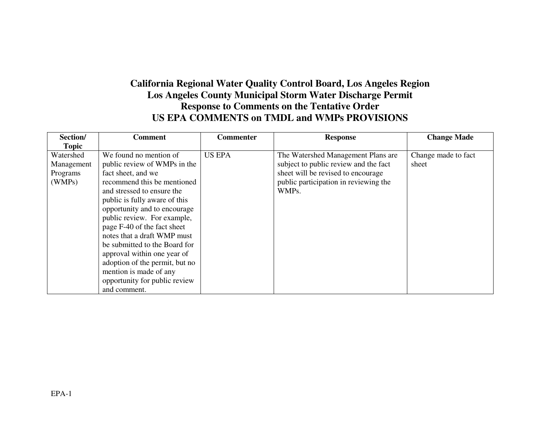## **California Regional Water Quality Control Board, Los Angeles Region Los Angeles County Municipal Storm Water Discharge Permit Response to Comments on the Tentative Order US EPA COMMENTS on TMDL and WMPs PROVISIONS**

| Section/                            | <b>Comment</b>                                                                                                                                                                                                                                                                                                                                                                                       | <b>Commenter</b> | <b>Response</b>                                                                                                   | <b>Change Made</b>           |
|-------------------------------------|------------------------------------------------------------------------------------------------------------------------------------------------------------------------------------------------------------------------------------------------------------------------------------------------------------------------------------------------------------------------------------------------------|------------------|-------------------------------------------------------------------------------------------------------------------|------------------------------|
| <b>Topic</b>                        |                                                                                                                                                                                                                                                                                                                                                                                                      |                  |                                                                                                                   |                              |
| Watershed<br>Management<br>Programs | We found no mention of<br>public review of WMPs in the<br>fact sheet, and we                                                                                                                                                                                                                                                                                                                         | <b>US EPA</b>    | The Watershed Management Plans are<br>subject to public review and the fact<br>sheet will be revised to encourage | Change made to fact<br>sheet |
| (WMPs)                              | recommend this be mentioned<br>and stressed to ensure the<br>public is fully aware of this<br>opportunity and to encourage<br>public review. For example,<br>page F-40 of the fact sheet<br>notes that a draft WMP must<br>be submitted to the Board for<br>approval within one year of<br>adoption of the permit, but no<br>mention is made of any<br>opportunity for public review<br>and comment. |                  | public participation in reviewing the<br>WMPs.                                                                    |                              |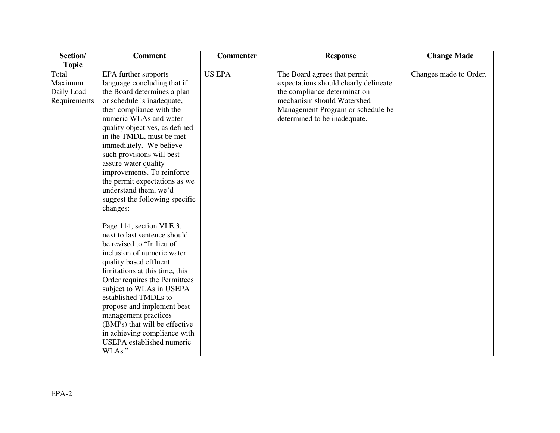| Section/                                       | <b>Comment</b>                                                                                                                                                                                                                                                                                                                                                                                                                                         | <b>Commenter</b> | <b>Response</b>                                                                                                                                                                                          | <b>Change Made</b>     |
|------------------------------------------------|--------------------------------------------------------------------------------------------------------------------------------------------------------------------------------------------------------------------------------------------------------------------------------------------------------------------------------------------------------------------------------------------------------------------------------------------------------|------------------|----------------------------------------------------------------------------------------------------------------------------------------------------------------------------------------------------------|------------------------|
| <b>Topic</b>                                   |                                                                                                                                                                                                                                                                                                                                                                                                                                                        |                  |                                                                                                                                                                                                          |                        |
| Total<br>Maximum<br>Daily Load<br>Requirements | EPA further supports<br>language concluding that if<br>the Board determines a plan<br>or schedule is inadequate,<br>then compliance with the<br>numeric WLAs and water<br>quality objectives, as defined<br>in the TMDL, must be met<br>immediately. We believe<br>such provisions will best<br>assure water quality<br>improvements. To reinforce<br>the permit expectations as we<br>understand them, we'd<br>suggest the following specific         | <b>US EPA</b>    | The Board agrees that permit<br>expectations should clearly delineate<br>the compliance determination<br>mechanism should Watershed<br>Management Program or schedule be<br>determined to be inadequate. | Changes made to Order. |
|                                                | changes:<br>Page 114, section VI.E.3.<br>next to last sentence should<br>be revised to "In lieu of<br>inclusion of numeric water<br>quality based effluent<br>limitations at this time, this<br>Order requires the Permittees<br>subject to WLAs in USEPA<br>established TMDLs to<br>propose and implement best<br>management practices<br>(BMPs) that will be effective<br>in achieving compliance with<br><b>USEPA</b> established numeric<br>WLAs." |                  |                                                                                                                                                                                                          |                        |